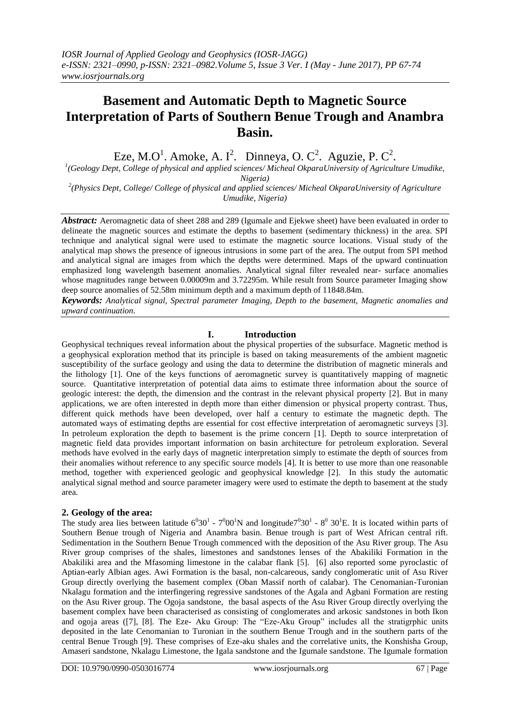## **Basement and Automatic Depth to Magnetic Source Interpretation of Parts of Southern Benue Trough and Anambra Basin.**

Eze, M.O<sup>1</sup>. Amoke, A. I<sup>2</sup>. Dinneya, O. C<sup>2</sup>. Aguzie, P. C<sup>2</sup>.

<sup>1</sup>(Geology Dept, College of physical and applied sciences/ Micheal OkparaUniversity of Agriculture Umudike, *Nigeria)*

*2 (Physics Dept, College/ College of physical and applied sciences/ Micheal OkparaUniversity of Agriculture Umudike, Nigeria)*

*Abstract:* Aeromagnetic data of sheet 288 and 289 (Igumale and Ejekwe sheet) have been evaluated in order to delineate the magnetic sources and estimate the depths to basement (sedimentary thickness) in the area. SPI technique and analytical signal were used to estimate the magnetic source locations. Visual study of the analytical map shows the presence of igneous intrusions in some part of the area. The output from SPI method and analytical signal are images from which the depths were determined. Maps of the upward continuation emphasized long wavelength basement anomalies. Analytical signal filter revealed near- surface anomalies whose magnitudes range between 0.00009m and 3.72295m. While result from Source parameter Imaging show deep source anomalies of 52.58m minimum depth and a maximum depth of 11848.84m.

*Keywords: Analytical signal, Spectral parameter Imaging, Depth to the basement, Magnetic anomalies and upward continuation.*

#### **I. Introduction**

Geophysical techniques reveal information about the physical properties of the subsurface. Magnetic method is a geophysical exploration method that its principle is based on taking measurements of the ambient magnetic susceptibility of the surface geology and using the data to determine the distribution of magnetic minerals and the lithology [1]. One of the keys functions of aeromagnetic survey is quantitatively mapping of magnetic source. Quantitative interpretation of potential data aims to estimate three information about the source of geologic interest: the depth, the dimension and the contrast in the relevant physical property [2]. But in many applications, we are often interested in depth more than either dimension or physical property contrast. Thus, different quick methods have been developed, over half a century to estimate the magnetic depth. The automated ways of estimating depths are essential for cost effective interpretation of aeromagnetic surveys [3]. In petroleum exploration the depth to basement is the prime concern [1]. Depth to source interpretation of magnetic field data provides important information on basin architecture for petroleum exploration. Several methods have evolved in the early days of magnetic interpretation simply to estimate the depth of sources from their anomalies without reference to any specific source models [4]. It is better to use more than one reasonable method, together with experienced geologic and geophysical knowledge [2]. In this study the automatic analytical signal method and source parameter imagery were used to estimate the depth to basement at the study area.

#### **2. Geology of the area:**

The study area lies between latitude  $6^030^1$  -  $7^000^1$ N and longitude $7^030^1$  -  $8^030^1$ E. It is located within parts of Southern Benue trough of Nigeria and Anambra basin. Benue trough is part of West African central rift. Sedimentation in the Southern Benue Trough commenced with the deposition of the Asu River group. The Asu River group comprises of the shales, limestones and sandstones lenses of the Abakiliki Formation in the Abakiliki area and the Mfasoming limestone in the calabar flank [5]. [6] also reported some pyroclastic of Aptian-early Albian ages. Awi Formation is the basal, non-calcareous, sandy conglomeratic unit of Asu River Group directly overlying the basement complex (Oban Massif north of calabar). The Cenomanian-Turonian Nkalagu formation and the interfingering regressive sandstones of the Agala and Agbani Formation are resting on the Asu River group. The Ogoja sandstone, the basal aspects of the Asu River Group directly overlying the basement complex have been characterised as consisting of conglomerates and arkosic sandstones in both Ikon and ogoja areas ([7], [8]. The Eze- Aku Group: The "Eze-Aku Group" includes all the stratigrphic units deposited in the late Cenomanian to Turonian in the southern Benue Trough and in the southern parts of the central Benue Trough [9]. These comprises of Eze-aku shales and the correlative units, the Konshisha Group, Amaseri sandstone, Nkalagu Limestone, the Igala sandstone and the Igumale sandstone. The Igumale formation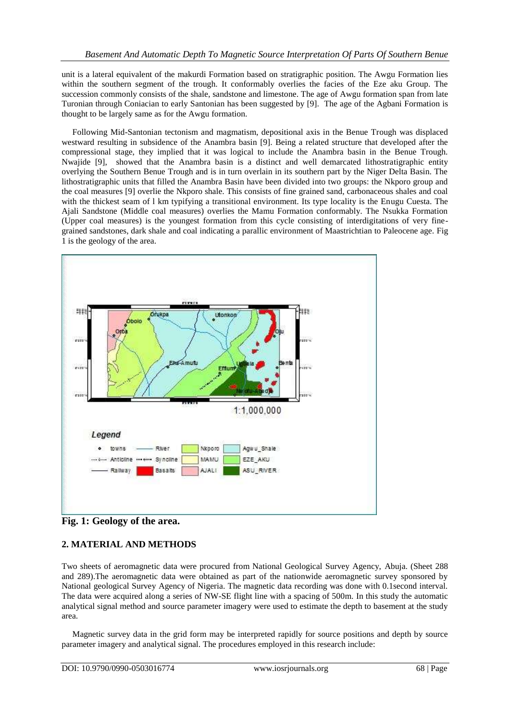unit is a lateral equivalent of the makurdi Formation based on stratigraphic position. The Awgu Formation lies within the southern segment of the trough. It conformably overlies the facies of the Eze aku Group. The succession commonly consists of the shale, sandstone and limestone. The age of Awgu formation span from late Turonian through Coniacian to early Santonian has been suggested by [9]. The age of the Agbani Formation is thought to be largely same as for the Awgu formation.

 Following Mid-Santonian tectonism and magmatism, depositional axis in the Benue Trough was displaced westward resulting in subsidence of the Anambra basin [9]. Being a related structure that developed after the compressional stage, they implied that it was logical to include the Anambra basin in the Benue Trough. Nwajide [9], showed that the Anambra basin is a distinct and well demarcated lithostratigraphic entity overlying the Southern Benue Trough and is in turn overlain in its southern part by the Niger Delta Basin. The lithostratigraphic units that filled the Anambra Basin have been divided into two groups: the Nkporo group and the coal measures [9] overlie the Nkporo shale. This consists of fine grained sand, carbonaceous shales and coal with the thickest seam of l km typifying a transitional environment. Its type locality is the Enugu Cuesta. The Ajali Sandstone (Middle coal measures) overlies the Mamu Formation conformably. The Nsukka Formation (Upper coal measures) is the youngest formation from this cycle consisting of interdigitations of very finegrained sandstones, dark shale and coal indicating a parallic environment of Maastrichtian to Paleocene age. Fig 1 is the geology of the area.



**Fig. 1: Geology of the area.**

## **2. MATERIAL AND METHODS**

Two sheets of aeromagnetic data were procured from National Geological Survey Agency, Abuja. (Sheet 288 and 289).The aeromagnetic data were obtained as part of the nationwide aeromagnetic survey sponsored by National geological Survey Agency of Nigeria. The magnetic data recording was done with 0.1second interval. The data were acquired along a series of NW-SE flight line with a spacing of 500m. In this study the automatic analytical signal method and source parameter imagery were used to estimate the depth to basement at the study area.

 Magnetic survey data in the grid form may be interpreted rapidly for source positions and depth by source parameter imagery and analytical signal. The procedures employed in this research include: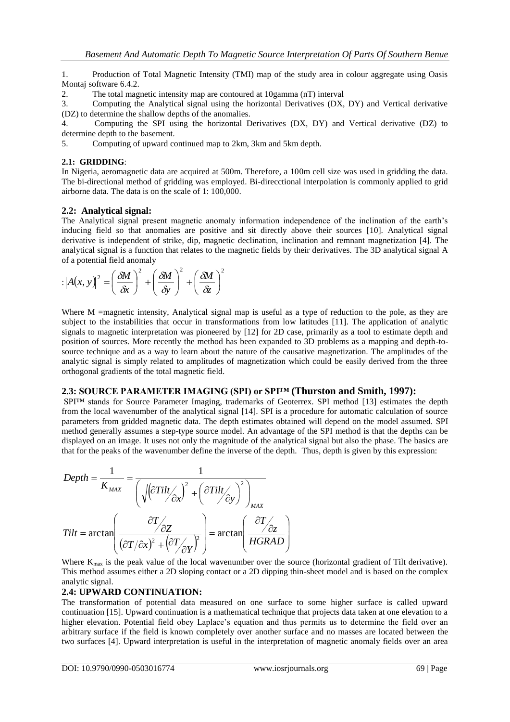1. Production of Total Magnetic Intensity (TMI) map of the study area in colour aggregate using Oasis Montaj software 6.4.2.

2. The total magnetic intensity map are contoured at 10gamma (nT) interval

3. Computing the Analytical signal using the horizontal Derivatives (DX, DY) and Vertical derivative (DZ) to determine the shallow depths of the anomalies.

4. Computing the SPI using the horizontal Derivatives (DX, DY) and Vertical derivative (DZ) to determine depth to the basement.

5. Computing of upward continued map to 2km, 3km and 5km depth.

#### **2.1: GRIDDING**:

In Nigeria, aeromagnetic data are acquired at 500m. Therefore, a 100m cell size was used in gridding the data. The bi-directional method of gridding was employed. Bi-direcctional interpolation is commonly applied to grid airborne data. The data is on the scale of 1: 100,000.

## **2.2: Analytical signal:**

The Analytical signal present magnetic anomaly information independence of the inclination of the earth's inducing field so that anomalies are positive and sit directly above their sources [10]. Analytical signal derivative is independent of strike, dip, magnetic declination, inclination and remnant magnetization [4]. The analytical signal is a function that relates to the magnetic fields by their derivatives. The 3D analytical signal A of a potential field anomaly

$$
|\left|A(x, y)\right|^2 = \left(\frac{\delta M}{\delta x}\right)^2 + \left(\frac{\delta M}{\delta y}\right)^2 + \left(\frac{\delta M}{\delta z}\right)^2
$$

Where M =magnetic intensity, Analytical signal map is useful as a type of reduction to the pole, as they are subject to the instabilities that occur in transformations from low latitudes [11]. The application of analytic signals to magnetic interpretation was pioneered by [12] for 2D case, primarily as a tool to estimate depth and position of sources. More recently the method has been expanded to 3D problems as a mapping and depth-tosource technique and as a way to learn about the nature of the causative magnetization. The amplitudes of the analytic signal is simply related to amplitudes of magnetization which could be easily derived from the three orthogonal gradients of the total magnetic field.

## **2.3: SOURCE PARAMETER IMAGING (SPI) or SPI™ (Thurston and Smith, 1997):**

SPI™ stands for Source Parameter Imaging, trademarks of Geoterrex. SPI method [13] estimates the depth from the local wavenumber of the analytical signal [14]. SPI is a procedure for automatic calculation of source parameters from gridded magnetic data. The depth estimates obtained will depend on the model assumed. SPI method generally assumes a step-type source model. An advantage of the SPI method is that the depths can be displayed on an image. It uses not only the magnitude of the analytical signal but also the phase. The basics are that for the peaks of the wavenumber define the inverse of the depth. Thus, depth is given by this expression:

$$
Depth = \frac{1}{K_{MAX}} = \frac{1}{\left(\sqrt{\left(\frac{\partial Tit}{\partial x}\right)^2 + \left(\frac{\partial Tit}{\partial y}\right)^2\right)_{MAX}}}
$$

$$
Tit = \arctan\left(\frac{\frac{\partial T}{\partial z}}{(\frac{\partial T}{\partial x})^2 + \left(\frac{\partial T}{\partial y}\right)^2}\right) = \arctan\left(\frac{\frac{\partial T}{\partial z}}{HGRAD}\right)
$$

Where  $K_{\text{max}}$  is the peak value of the local wavenumber over the source (horizontal gradient of Tilt derivative). This method assumes either a 2D sloping contact or a 2D dipping thin-sheet model and is based on the complex analytic signal.

## **2.4: UPWARD CONTINUATION:**

The transformation of potential data measured on one surface to some higher surface is called upward continuation [15]. Upward continuation is a mathematical technique that projects data taken at one elevation to a higher elevation. Potential field obey Laplace's equation and thus permits us to determine the field over an arbitrary surface if the field is known completely over another surface and no masses are located between the two surfaces [4]. Upward interpretation is useful in the interpretation of magnetic anomaly fields over an area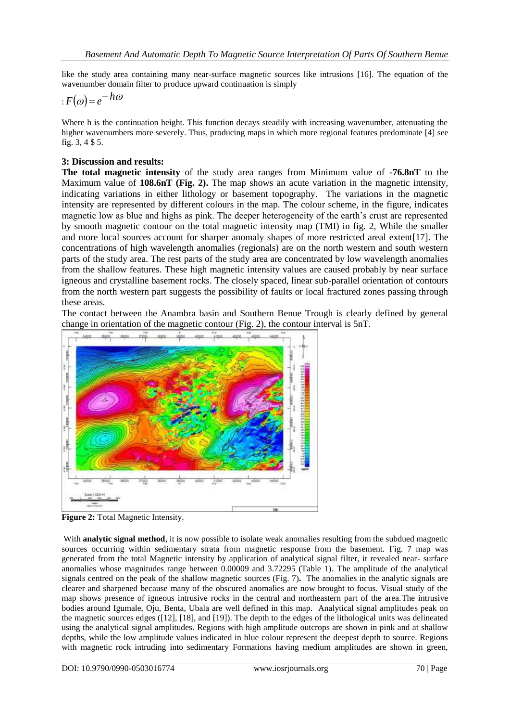like the study area containing many near-surface magnetic sources like intrusions [16]. The equation of the wavenumber domain filter to produce upward continuation is simply

$$
: F(\omega) = e^{-h\omega}
$$

Where h is the continuation height. This function decays steadily with increasing wavenumber, attenuating the higher wavenumbers more severely. Thus, producing maps in which more regional features predominate [4] see fig. 3, 4 \$ 5.

## **3: Discussion and results:**

**The total magnetic intensity** of the study area ranges from Minimum value of **-76.8nT** to the Maximum value of **108.6nT (Fig. 2).** The map shows an acute variation in the magnetic intensity, indicating variations in either lithology or basement topography. The variations in the magnetic intensity are represented by different colours in the map. The colour scheme, in the figure, indicates magnetic low as blue and highs as pink. The deeper heterogeneity of the earth's crust are represented by smooth magnetic contour on the total magnetic intensity map (TMI) in fig. 2, While the smaller and more local sources account for sharper anomaly shapes of more restricted areal extent[17]. The concentrations of high wavelength anomalies (regionals) are on the north western and south western parts of the study area. The rest parts of the study area are concentrated by low wavelength anomalies from the shallow features. These high magnetic intensity values are caused probably by near surface igneous and crystalline basement rocks. The closely spaced, linear sub-parallel orientation of contours from the north western part suggests the possibility of faults or local fractured zones passing through these areas.

The contact between the Anambra basin and Southern Benue Trough is clearly defined by general change in orientation of the magnetic contour (Fig. 2), the contour interval is 5nT.



**Figure 2:** Total Magnetic Intensity.

With **analytic signal method**, it is now possible to isolate weak anomalies resulting from the subdued magnetic sources occurring within sedimentary strata from magnetic response from the basement. Fig. 7 map was generated from the total Magnetic intensity by application of analytical signal filter, it revealed near- surface anomalies whose magnitudes range between 0.00009 and 3.72295 (Table 1). The amplitude of the analytical signals centred on the peak of the shallow magnetic sources (Fig. 7)**.** The anomalies in the analytic signals are clearer and sharpened because many of the obscured anomalies are now brought to focus. Visual study of the map shows presence of igneous intrusive rocks in the central and northeastern part of the area.The intrusive bodies around Igumale, Oju, Benta, Ubala are well defined in this map. Analytical signal amplitudes peak on the magnetic sources edges ([12], [18], and [19]). The depth to the edges of the lithological units was delineated using the analytical signal amplitudes. Regions with high amplitude outcrops are shown in pink and at shallow depths, while the low amplitude values indicated in blue colour represent the deepest depth to source. Regions with magnetic rock intruding into sedimentary Formations having medium amplitudes are shown in green,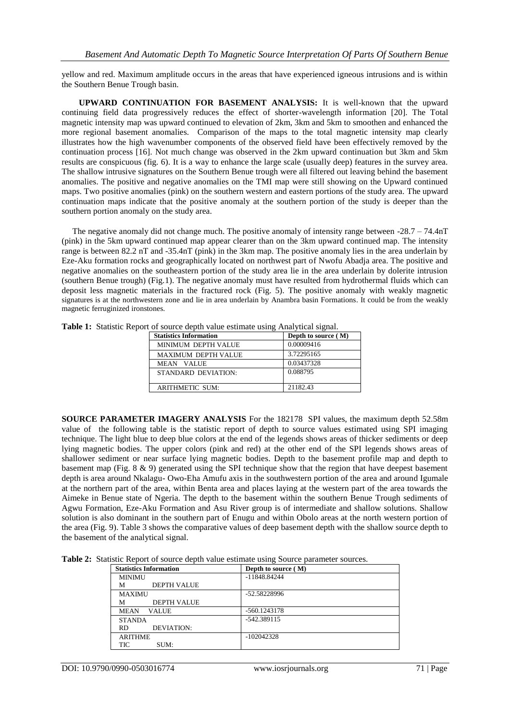yellow and red. Maximum amplitude occurs in the areas that have experienced igneous intrusions and is within the Southern Benue Trough basin.

 **UPWARD CONTINUATION FOR BASEMENT ANALYSIS:** It is well-known that the upward continuing field data progressively reduces the effect of shorter-wavelength information [20]. The Total magnetic intensity map was upward continued to elevation of 2km, 3km and 5km to smoothen and enhanced the more regional basement anomalies. Comparison of the maps to the total magnetic intensity map clearly illustrates how the high wavenumber components of the observed field have been effectively removed by the continuation process [16]. Not much change was observed in the 2km upward continuation but 3km and 5km results are conspicuous (fig. 6). It is a way to enhance the large scale (usually deep) features in the survey area. The shallow intrusive signatures on the Southern Benue trough were all filtered out leaving behind the basement anomalies. The positive and negative anomalies on the TMI map were still showing on the Upward continued maps. Two positive anomalies (pink) on the southern western and eastern portions of the study area. The upward continuation maps indicate that the positive anomaly at the southern portion of the study is deeper than the southern portion anomaly on the study area.

The negative anomaly did not change much. The positive anomaly of intensity range between  $-28.7 - 74.4nT$ (pink) in the 5km upward continued map appear clearer than on the 3km upward continued map. The intensity range is between 82.2 nT and -35.4nT (pink) in the 3km map. The positive anomaly lies in the area underlain by Eze-Aku formation rocks and geographically located on northwest part of Nwofu Abadja area. The positive and negative anomalies on the southeastern portion of the study area lie in the area underlain by dolerite intrusion (southern Benue trough) (Fig.1). The negative anomaly must have resulted from hydrothermal fluids which can deposit less magnetic materials in the fractured rock (Fig. 5). The positive anomaly with weakly magnetic signatures is at the northwestern zone and lie in area underlain by Anambra basin Formations. It could be from the weakly magnetic ferruginized ironstones.

| <b>Statistics Information</b> | Depth to source (M) |
|-------------------------------|---------------------|
| MINIMUM DEPTH VALUE           | 0.00009416          |
| MAXIMUM DEPTH VALUE           | 3.72295165          |
| MEAN VALUE                    | 0.03437328          |
| STANDARD DEVIATION:           | 0.088795            |
| <b>ARITHMETIC SUM:</b>        | 21182.43            |

**Table 1:** Statistic Report of source depth value estimate using Analytical signal.

**SOURCE PARAMETER IMAGERY ANALYSIS** For the 182178 SPI values, the maximum depth 52.58m value of the following table is the statistic report of depth to source values estimated using SPI imaging technique. The light blue to deep blue colors at the end of the legends shows areas of thicker sediments or deep lying magnetic bodies. The upper colors (pink and red) at the other end of the SPI legends shows areas of shallower sediment or near surface lying magnetic bodies. Depth to the basement profile map and depth to basement map (Fig. 8 & 9) generated using the SPI technique show that the region that have deepest basement depth is area around Nkalagu- Owo-Eha Amufu axis in the southwestern portion of the area and around Igumale at the northern part of the area, within Benta area and places laying at the western part of the area towards the Aimeke in Benue state of Ngeria. The depth to the basement within the southern Benue Trough sediments of Agwu Formation, Eze-Aku Formation and Asu River group is of intermediate and shallow solutions. Shallow solution is also dominant in the southern part of Enugu and within Obolo areas at the north western portion of the area (Fig. 9). Table 3 shows the comparative values of deep basement depth with the shallow source depth to the basement of the analytical signal.

| <b>Statistics Information</b> | Depth to source (M) |
|-------------------------------|---------------------|
| <b>MINIMU</b>                 | $-11848.84244$      |
| <b>DEPTH VALUE</b><br>м       |                     |
| <b>MAXIMU</b>                 | -52.58228996        |
| <b>DEPTH VALUE</b><br>м       |                     |
| <b>MEAN</b><br><b>VALUE</b>   | $-560.1243178$      |
| <b>STANDA</b>                 | $-542.389115$       |
| DEVIATION:<br><b>RD</b>       |                     |
| <b>ARITHME</b>                | $-102042328$        |
| TIC<br>SUM:                   |                     |

Table 2: Statistic Report of source depth value estimate using Source parameter sources.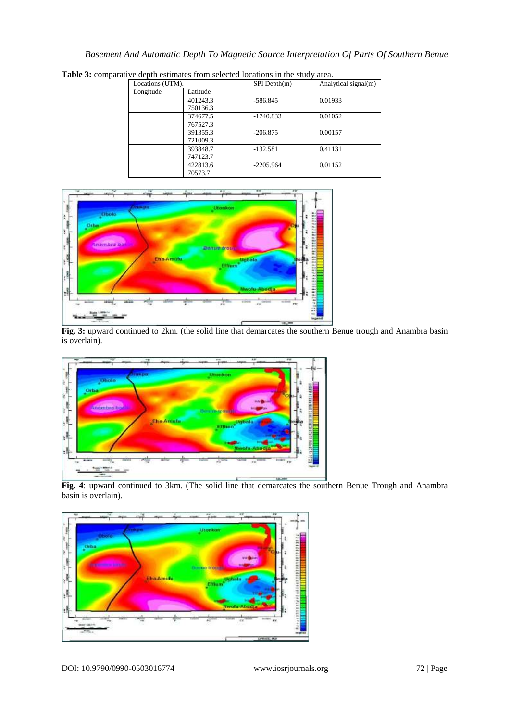| Locations (UTM). |          | $SPI$ Depth $(m)$ | Analytical signal(m) |
|------------------|----------|-------------------|----------------------|
| Longitude        | Latitude |                   |                      |
|                  | 401243.3 | $-586.845$        | 0.01933              |
|                  | 750136.3 |                   |                      |
|                  | 374677.5 | $-1740.833$       | 0.01052              |
|                  | 767527.3 |                   |                      |
|                  | 391355.3 | $-206.875$        | 0.00157              |
|                  | 721009.3 |                   |                      |
|                  | 393848.7 | $-132.581$        | 0.41131              |
|                  | 747123.7 |                   |                      |
|                  | 422813.6 | $-2205.964$       | 0.01152              |
|                  | 70573.7  |                   |                      |

**Table 3:** comparative depth estimates from selected locations in the study area.



**Fig. 3:** upward continued to 2km. (the solid line that demarcates the southern Benue trough and Anambra basin is overlain).



**Fig. 4**: upward continued to 3km. (The solid line that demarcates the southern Benue Trough and Anambra basin is overlain).

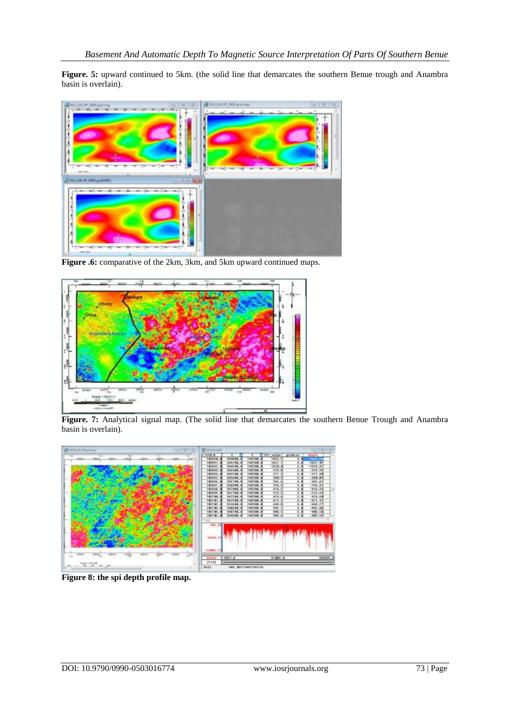Figure. 5: upward continued to 5km. (the solid line that demarcates the southern Benue trough and Anambra basin is overlain).



**Figure .6:** comparative of the 2km, 3km, and 5km upward continued maps.



**Figure. 7:** Analytical signal map. (The solid line that demarcates the southern Benue Trough and Anambra basin is overlain).



**Figure 8: the spi depth profile map.**